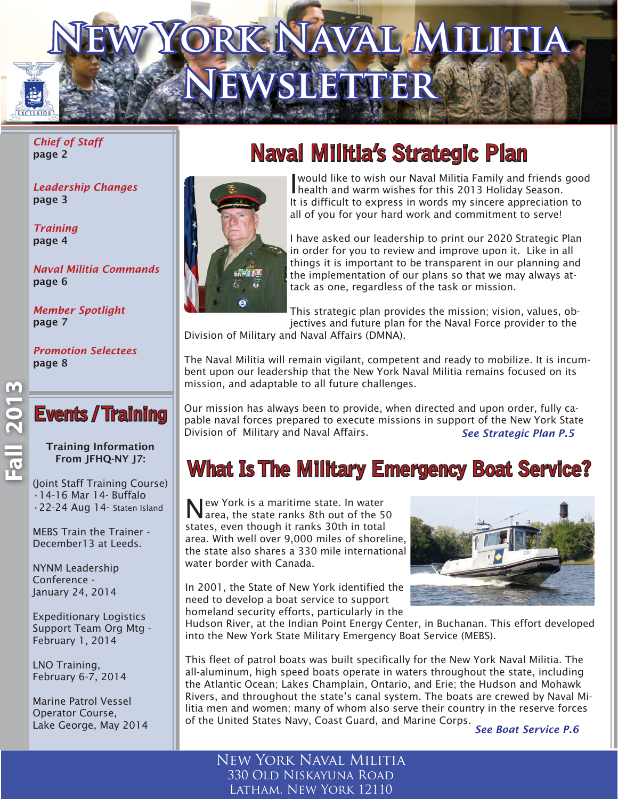# YORK NAVAL MILITIA  $EWSLETTER$

*Chief of Staff*  page 2

*Leadership Changes* page 3

*Training* page 4

*Naval Militia Commands* page 6

*Member Spotlight* page 7

*Promotion Selectees* page 8

### **Events / Training**

Training Information From JFHQ-NY J7:

(Joint Staff Training Course) •14-16 Mar 14- Buffalo •22-24 Aug 14- Staten Island

MEBS Train the Trainer - December13 at Leeds.

NYNM Leadership Conference - January 24, 2014

Expeditionary Logistics Support Team Org Mtg - February 1, 2014

LNO Training, February 6-7, 2014

Marine Patrol Vessel Operator Course, Lake George, May 2014

### **Naval Militia's Strategic Plan aval**



I would like to wish our Naval Militia Family and friends good health and warm wishes for this 2013 Holiday Season. It is difficult to express in words my sincere appreciation to all of you for your hard work and commitment to serve!

I have asked our leadership to print our 2020 Strategic Plan in order for you to review and improve upon it. Like in all things it is important to be transparent in our planning and the implementation of our plans so that we may always attack as one, regardless of the task or mission.

This strategic plan provides the mission; vision, values, objectives and future plan for the Naval Force provider to the

Division of Military and Naval Affairs (DMNA).

The Naval Militia will remain vigilant, competent and ready to mobilize. It is incumbent upon our leadership that the New York Naval Militia remains focused on its mission, and adaptable to all future challenges.

Our mission has always been to provide, when directed and upon order, fully capable naval forces prepared to execute missions in support of the New York State Division of Military and Naval Affairs. *See Strategic Plan P.5*

### **What Is The Military Emergency Boat Service?**

New York is a maritime state. In water area, the state ranks 8th out of the 50 states, even though it ranks 30th in total area. With well over 9,000 miles of shoreline, the state also shares a 330 mile international water border with Canada.

In 2001, the State of New York identified the need to develop a boat service to support homeland security efforts, particularly in the



Hudson River, at the Indian Point Energy Center, in Buchanan. This effort developed into the New York State Military Emergency Boat Service (MEBS).

This fleet of patrol boats was built specifically for the New York Naval Militia. The all-aluminum, high speed boats operate in waters throughout the state, including the Atlantic Ocean; Lakes Champlain, Ontario, and Erie; the Hudson and Mohawk Rivers, and throughout the state's canal system. The boats are crewed by Naval Militia men and women; many of whom also serve their country in the reserve forces of the United States Navy, Coast Guard, and Marine Corps. *See Boat Service P.6*

New York Naval Militia 330 Old Niskayuna Road Latham, New York 12110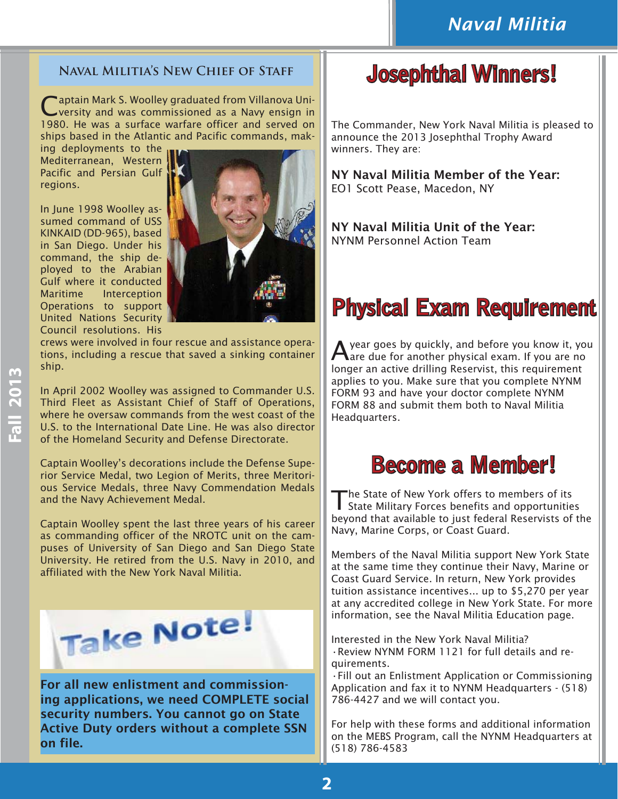### **Naval Militia's New Chief of Staff**

aptain Mark S. Woolley graduated from Villanova University and was commissioned as a Navy ensign in 1980. He was a surface warfare officer and served on ships based in the Atlantic and Pacific commands, mak-

ing deployments to the Mediterranean, Western Pacific and Persian Gulf regions.

In June 1998 Woolley assumed command of USS KINKAID (DD-965), based in San Diego. Under his command, the ship deployed to the Arabian Gulf where it conducted Maritime Interception Operations to support United Nations Security Council resolutions. His



crews were involved in four rescue and assistance operations, including a rescue that saved a sinking container ship.

In April 2002 Woolley was assigned to Commander U.S. Third Fleet as Assistant Chief of Staff of Operations, where he oversaw commands from the west coast of the U.S. to the International Date Line. He was also director of the Homeland Security and Defense Directorate.

Captain Woolley's decorations include the Defense Superior Service Medal, two Legion of Merits, three Meritorious Service Medals, three Navy Commendation Medals and the Navy Achievement Medal.

Captain Woolley spent the last three years of his career as commanding officer of the NROTC unit on the campuses of University of San Diego and San Diego State University. He retired from the U.S. Navy in 2010, and affiliated with the New York Naval Militia.



For all new enlistment and commissioning applications, we need COMPLETE social security numbers. You cannot go on State Active Duty orders without a complete SSN on file.

### **Josephthal Winners!**

The Commander, New York Naval Militia is pleased to announce the 2013 Josephthal Trophy Award winners. They are:

NY Naval Militia Member of the Year: EO1 Scott Pease, Macedon, NY

NY Naval Militia Unit of the Year: NYNM Personnel Action Team

### **Physical Exam Requirement hysical**

A year goes by quickly, and before you know it, you are due for another physical exam. If you are no longer an active drilling Reservist, this requirement applies to you. Make sure that you complete NYNM FORM 93 and have your doctor complete NYNM FORM 88 and submit them both to Naval Militia Headquarters.

### **Become a Member!**

The State of New York offers to members of its State Military Forces benefits and opportunities beyond that available to just federal Reservists of the Navy, Marine Corps, or Coast Guard.

Members of the Naval Militia support New York State at the same time they continue their Navy, Marine or Coast Guard Service. In return, New York provides tuition assistance incentives... up to \$5,270 per year at any accredited college in New York State. For more information, see the Naval Militia Education page.

Interested in the New York Naval Militia? •Review NYNM FORM 1121 for full details and requirements.

•Fill out an Enlistment Application or Commissioning Application and fax it to NYNM Headquarters - (518) 786-4427 and we will contact you.

For help with these forms and additional information on the MEBS Program, call the NYNM Headquarters at (518) 786-4583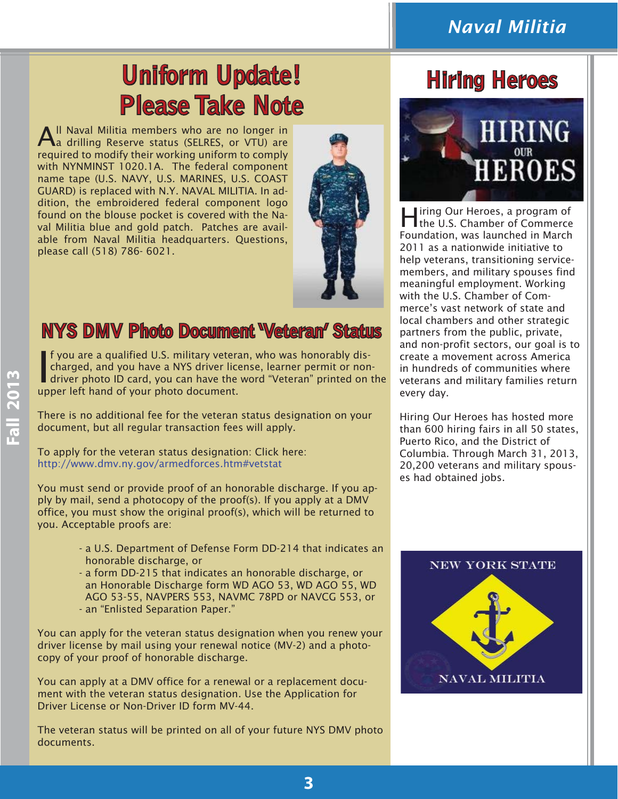### *Naval Militia*

## **Uniform Update! inclusively inform Update! inclusively inclusively Please Take Note**

All Naval Militia members who are no longer in<br>Aa drilling Reserve status (SELRES, or VTU) are required to modify their working uniform to comply with NYNMINST 1020.1A. The federal component name tape (U.S. NAVY, U.S. MARINES, U.S. COAST GUARD) is replaced with N.Y. NAVAL MILITIA. In addition, the embroidered federal component logo found on the blouse pocket is covered with the Naval Militia blue and gold patch. Patches are available from Naval Militia headquarters. Questions, please call (518) 786- 6021.



### **NYS DMV Photo Document 'Veteran' Status**

If you are a qualified U.S. military veteran, who was honorably dis-<br>charged, and you have a NYS driver license, learner permit or non-<br>driver photo ID card, you can have the word "Veteran" printed on the f you are a qualified U.S. military veteran, who was honorably discharged, and you have a NYS driver license, learner permit or nonupper left hand of your photo document.

There is no additional fee for the veteran status designation on your document, but all regular transaction fees will apply.

To apply for the veteran status designation: Click here: http://www.dmv.ny.gov/armedforces.htm#vetstat

You must send or provide proof of an honorable discharge. If you apply by mail, send a photocopy of the proof(s). If you apply at a DMV office, you must show the original proof(s), which will be returned to you. Acceptable proofs are:

- a U.S. Department of Defense Form DD-214 that indicates an honorable discharge, or
- a form DD-215 that indicates an honorable discharge, or an Honorable Discharge form WD AGO 53, WD AGO 55, WD AGO 53-55, NAVPERS 553, NAVMC 78PD or NAVCG 553, or - an "Enlisted Separation Paper."
- You can apply for the veteran status designation when you renew your driver license by mail using your renewal notice (MV-2) and a photocopy of your proof of honorable discharge.

You can apply at a DMV office for a renewal or a replacement document with the veteran status designation. Use the Application for Driver License or Non-Driver ID form MV-44.

The veteran status will be printed on all of your future NYS DMV photo documents.



Iring Our Heroes, a program of the U.S. Chamber of Commerce Foundation, was launched in March 2011 as a nationwide initiative to help veterans, transitioning servicemembers, and military spouses find meaningful employment. Working with the U.S. Chamber of Commerce's vast network of state and local chambers and other strategic partners from the public, private, and non-profit sectors, our goal is to create a movement across America in hundreds of communities where veterans and military families return every day.

Hiring Our Heroes has hosted more than 600 hiring fairs in all 50 states, Puerto Rico, and the District of Columbia. Through March 31, 2013, 20,200 veterans and military spouses had obtained jobs.

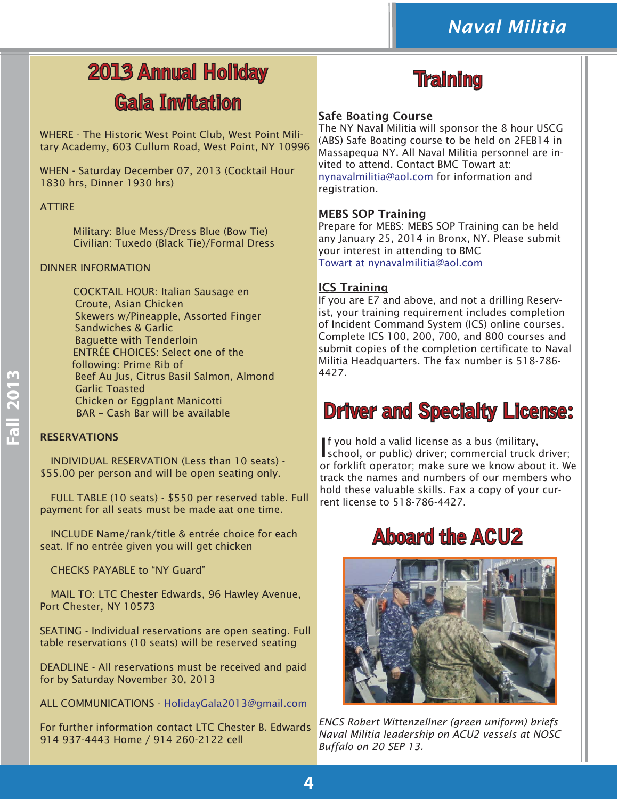### **2013 Annual Holiday Gala Invitation**

WHERE - The Historic West Point Club, West Point Military Academy, 603 Cullum Road, West Point, NY 10996

WHEN - Saturday December 07, 2013 (Cocktail Hour 1830 hrs, Dinner 1930 hrs)

#### **ATTIRE**

 Military: Blue Mess/Dress Blue (Bow Tie) Civilian: Tuxedo (Black Tie)/Formal Dress

#### DINNER INFORMATION

 COCKTAIL HOUR: Italian Sausage en Croute, Asian Chicken Skewers w/Pineapple, Assorted Finger Sandwiches & Garlic Baguette with Tenderloin ENTRÉE CHOICES: Select one of the following: Prime Rib of Beef Au Jus, Citrus Basil Salmon, Almond Garlic Toasted Chicken or Eggplant Manicotti BAR – Cash Bar will be available

#### RESERVATIONS

 INDIVIDUAL RESERVATION (Less than 10 seats) - \$55.00 per person and will be open seating only.

 FULL TABLE (10 seats) - \$550 per reserved table. Full payment for all seats must be made aat one time.

 INCLUDE Name/rank/title & entrée choice for each seat. If no entrée given you will get chicken

CHECKS PAYABLE to "NY Guard"

 MAIL TO: LTC Chester Edwards, 96 Hawley Avenue, Port Chester, NY 10573

SEATING - Individual reservations are open seating. Full table reservations (10 seats) will be reserved seating

DEADLINE - All reservations must be received and paid for by Saturday November 30, 2013

ALL COMMUNICATIONS - HolidayGala2013@gmail.com

For further information contact LTC Chester B. Edwards 914 937-4443 Home / 914 260-2122 cell



#### Safe Boating Course

The NY Naval Militia will sponsor the 8 hour USCG (ABS) Safe Boating course to be held on 2FEB14 in Massapequa NY. All Naval Militia personnel are invited to attend. Contact BMC Towart at: nynavalmilitia@aol.com for information and registration.

#### MEBS SOP Training

Prepare for MEBS: MEBS SOP Training can be held any January 25, 2014 in Bronx, NY. Please submit your interest in attending to BMC Towart at nynavalmilitia@aol.com

#### ICS Training

If you are E7 and above, and not a drilling Reservist, your training requirement includes completion of Incident Command System (ICS) online courses. Complete ICS 100, 200, 700, and 800 courses and submit copies of the completion certificate to Naval Militia Headquarters. The fax number is 518-786- 4427.

### **Driver and Specialty License:**

I f you hold a valid license as a bus (military, school, or public) driver; commercial truck driver; or forklift operator; make sure we know about it. We track the names and numbers of our members who hold these valuable skills. Fax a copy of your current license to 518-786-4427.

### **Aboard the ACU2 board**



*ENCS Robert Wittenzellner (green uniform) briefs Naval Militia leadership on ACU2 vessels at NOSC Buffalo on 20 SEP 13.*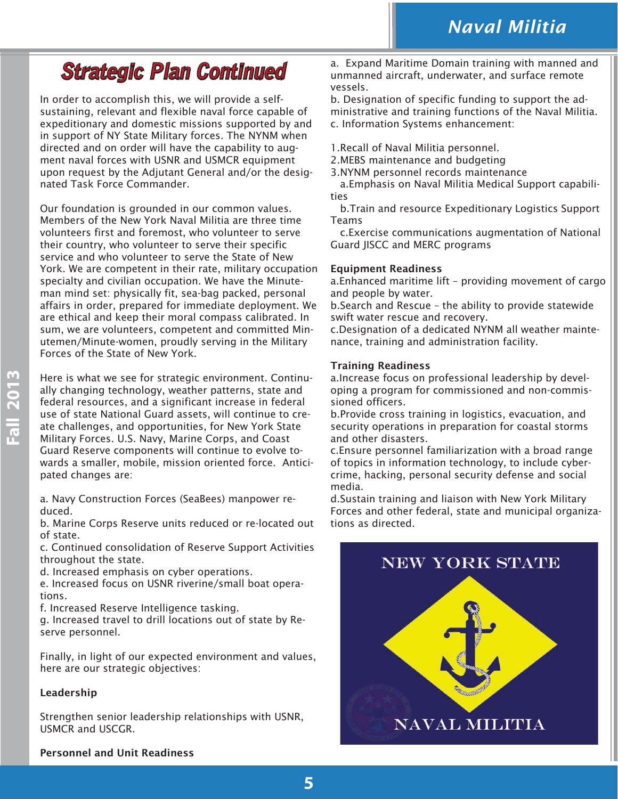### **Strategic Plan Continued trategic**

In order to accomplish this, we will provide a selfsustaining, relevant and flexible naval force capable of expeditionary and domestic missions supported by and in support of NY State Military forces. The NYNM when directed and on order will have the capability to augment naval forces with USNR and USMCR equipment upon request by the Adjutant General and/or the designated Task Force Commander.

Our foundation is grounded in our common values. Members of the New York Naval Militia are three time volunteers first and foremost, who volunteer to serve their country, who volunteer to serve their specific service and who volunteer to serve the State of New York. We are competent in their rate, military occupation specialty and civilian occupation. We have the Minuteman mind set: physically fit, sea-bag packed, personal affairs in order, prepared for immediate deployment. We are ethical and keep their moral compass calibrated. In sum, we are volunteers, competent and committed Minutemen/Minute-women, proudly serving in the Military Forces of the State of New York.

Here is what we see for strategic environment. Continually changing technology, weather patterns, state and federal resources, and a significant increase in federal use of state National Guard assets, will continue to create challenges, and opportunities, for New York State Military Forces. U.S. Navy, Marine Corps, and Coast Guard Reserve components will continue to evolve towards a smaller, mobile, mission oriented force. Anticipated changes are:

a. Navy Construction Forces (SeaBees) manpower reduced.

b. Marine Corps Reserve units reduced or re-located out of state.

c. Continued consolidation of Reserve Support Activities throughout the state.

d. Increased emphasis on cyber operations.

e. Increased focus on USNR riverine/small boat operations.

f. Increased Reserve Intelligence tasking.

g. Increased travel to drill locations out of state by Reserve personnel.

Finally, in light of our expected environment and values, here are our strategic objectives:

#### Leadership

Strengthen senior leadership relationships with USNR, USMCR and USCGR.

a. Expand Maritime Domain training with manned and unmanned aircraft, underwater, and surface remote vessels.

b. Designation of specific funding to support the administrative and training functions of the Naval Militia. c. Information Systems enhancement:

- 1.Recall of Naval Militia personnel.
- 2.MEBS maintenance and budgeting
- 3.NYNM personnel records maintenance

 a.Emphasis on Naval Militia Medical Support capabilities

 b.Train and resource Expeditionary Logistics Support Teams

 c.Exercise communications augmentation of National Guard JISCC and MERC programs

#### Equipment Readiness

a.Enhanced maritime lift – providing movement of cargo and people by water.

b.Search and Rescue – the ability to provide statewide swift water rescue and recovery.

c.Designation of a dedicated NYNM all weather maintenance, training and administration facility.

#### Training Readiness

a.Increase focus on professional leadership by developing a program for commissioned and non-commissioned officers.

b.Provide cross training in logistics, evacuation, and security operations in preparation for coastal storms and other disasters.

c.Ensure personnel familiarization with a broad range of topics in information technology, to include cybercrime, hacking, personal security defense and social media.

d.Sustain training and liaison with New York Military Forces and other federal, state and municipal organizations as directed.



#### Personnel and Unit Readiness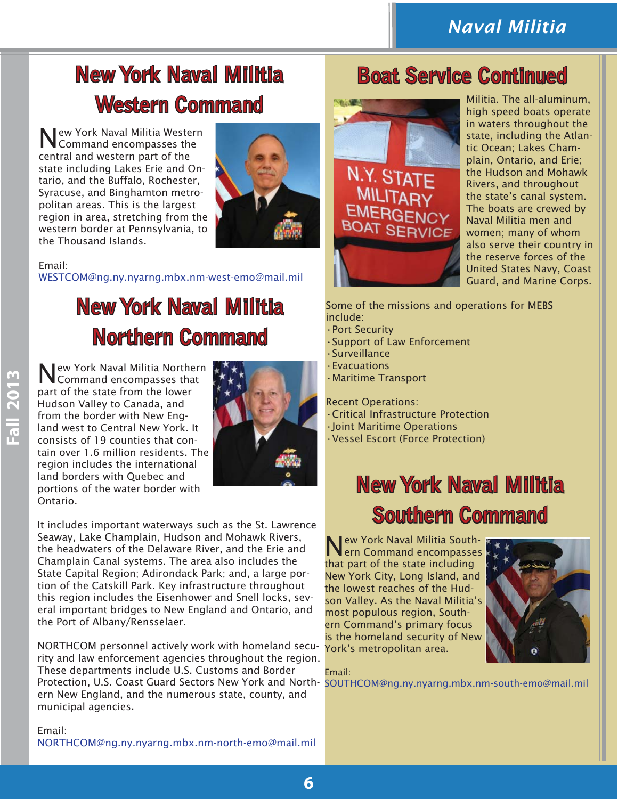### **New York Naval Militia Western Command estern**

New York Naval Militia Western Command encompasses the central and western part of the state including Lakes Erie and Ontario, and the Buffalo, Rochester, Syracuse, and Binghamton metropolitan areas. This is the largest region in area, stretching from the western border at Pennsylvania, to the Thousand Islands.



Email:

WESTCOM@ng.ny.nyarng.mbx.nm-west-emo@mail.mil

### **New York Naval Militia Northern Command orthern**

New York Naval Militia Northern Command encompasses that part of the state from the lower Hudson Valley to Canada, and from the border with New England west to Central New York. It consists of 19 counties that contain over 1.6 million residents. The region includes the international land borders with Quebec and portions of the water border with Ontario.



It includes important waterways such as the St. Lawrence Seaway, Lake Champlain, Hudson and Mohawk Rivers, the headwaters of the Delaware River, and the Erie and Champlain Canal systems. The area also includes the State Capital Region; Adirondack Park; and, a large portion of the Catskill Park. Key infrastructure throughout this region includes the Eisenhower and Snell locks, several important bridges to New England and Ontario, and the Port of Albany/Rensselaer.

NORTHCOM personnel actively work with homeland security and law enforcement agencies throughout the region. These departments include U.S. Customs and Border Protection, U.S. Coast Guard Sectors New York and North-SOUTHCOM@ng.ny.nyarng.mbx.nm-south-emo@mail.mil ern New England, and the numerous state, county, and municipal agencies.

Email: NORTHCOM@ng.ny.nyarng.mbx.nm-north-emo@mail.mil

### **Boat Service Continued oat**



Militia. The all-aluminum, high speed boats operate in waters throughout the state, including the Atlantic Ocean; Lakes Champlain, Ontario, and Erie; the Hudson and Mohawk Rivers, and throughout the state's canal system. The boats are crewed by Naval Militia men and women; many of whom also serve their country in the reserve forces of the United States Navy, Coast Guard, and Marine Corps.

Some of the missions and operations for MEBS include:

- •Port Security
- •Support of Law Enforcement
- •Surveillance
- •Evacuations
- •Maritime Transport

Recent Operations: •Critical Infrastructure Protection •Joint Maritime Operations •Vessel Escort (Force Protection)

### **New York Naval Militia ew Southern Command outhern**

New York Naval Militia South-ern Command encompasses that part of the state including New York City, Long Island, and the lowest reaches of the Hudson Valley. As the Naval Militia's most populous region, Southern Command's primary focus is the homeland security of New York's metropolitan area.



Email: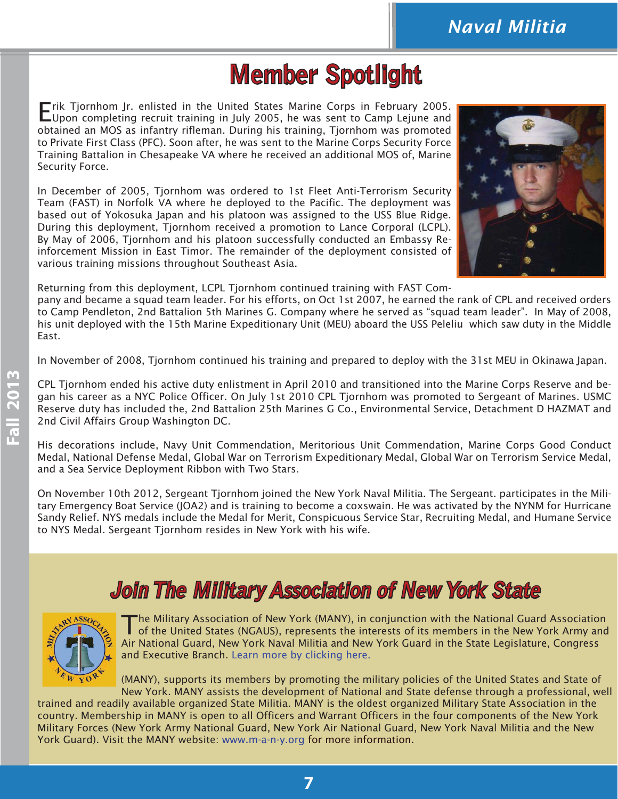### **Member Spotlight**

Erik Tjornhom Jr. enlisted in the United States Marine Corps in February 2005. Upon completing recruit training in July 2005, he was sent to Camp Lejune and obtained an MOS as infantry rifleman. During his training, Tjornhom was promoted to Private First Class (PFC). Soon after, he was sent to the Marine Corps Security Force Training Battalion in Chesapeake VA where he received an additional MOS of, Marine Security Force.

In December of 2005, Tjornhom was ordered to 1st Fleet Anti-Terrorism Security Team (FAST) in Norfolk VA where he deployed to the Pacific. The deployment was based out of Yokosuka Japan and his platoon was assigned to the USS Blue Ridge. During this deployment, Tjornhom received a promotion to Lance Corporal (LCPL). By May of 2006, Tjornhom and his platoon successfully conducted an Embassy Reinforcement Mission in East Timor. The remainder of the deployment consisted of various training missions throughout Southeast Asia.



Returning from this deployment, LCPL Tjornhom continued training with FAST Com-

pany and became a squad team leader. For his efforts, on Oct 1st 2007, he earned the rank of CPL and received orders to Camp Pendleton, 2nd Battalion 5th Marines G. Company where he served as "squad team leader". In May of 2008, his unit deployed with the 15th Marine Expeditionary Unit (MEU) aboard the USS Peleliu which saw duty in the Middle East.

In November of 2008, Tjornhom continued his training and prepared to deploy with the 31st MEU in Okinawa Japan.

CPL Tjornhom ended his active duty enlistment in April 2010 and transitioned into the Marine Corps Reserve and began his career as a NYC Police Officer. On July 1st 2010 CPL Tjornhom was promoted to Sergeant of Marines. USMC Reserve duty has included the, 2nd Battalion 25th Marines G Co., Environmental Service, Detachment D HAZMAT and 2nd Civil Affairs Group Washington DC.

His decorations include, Navy Unit Commendation, Meritorious Unit Commendation, Marine Corps Good Conduct Medal, National Defense Medal, Global War on Terrorism Expeditionary Medal, Global War on Terrorism Service Medal, and a Sea Service Deployment Ribbon with Two Stars.

On November 10th 2012, Sergeant Tjornhom joined the New York Naval Militia. The Sergeant. participates in the Military Emergency Boat Service (JOA2) and is training to become a coxswain. He was activated by the NYNM for Hurricane Sandy Relief. NYS medals include the Medal for Merit, Conspicuous Service Star, Recruiting Medal, and Humane Service to NYS Medal. Sergeant Tjornhom resides in New York with his wife.

### **Join The Military Association of New York State oin**



The Military Association of New York (MANY), in conjunction with the National Guard Association of the United States (NGAUS), represents the interests of its members in the New York Army and Air National Guard, New York Naval Militia and New York Guard in the State Legislature, Congress and Executive Branch. [Learn more by clicking here.](http://www.m-a-n-y.org/main.html)

(MANY), supports its members by promoting the military policies of the United States and State of New York. MANY assists the development of National and State defense through a professional, well

trained and readily available organized State Militia. MANY is the oldest organized Military State Association in the country. Membership in MANY is open to all Officers and Warrant Officers in the four components of the New York Military Forces (New York Army National Guard, New York Air National Guard, New York Naval Militia and the New York Guard). Visit the MANY website: www.m-a-n-y.org for more information.